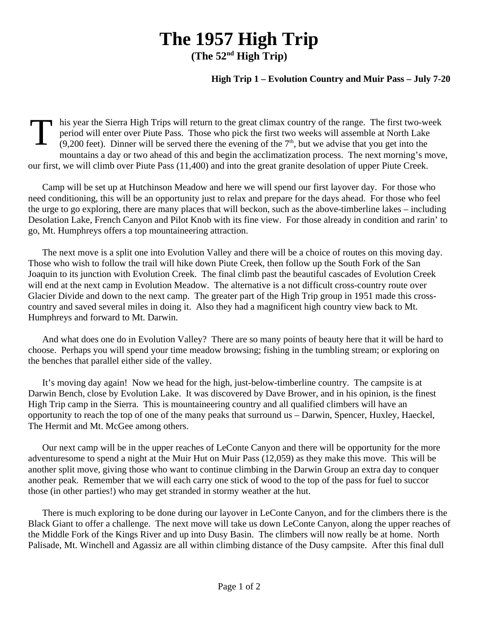## **The 1957 High Trip**

**(The 52nd High Trip)**

## **High Trip 1 – Evolution Country and Muir Pass – July 7-20**

T his year the Sierra High Trips will return to the great climax country of the range. The first two-week period will enter over Piute Pass. Those who pick the first two weeks will assemble at North Lake (9,200 feet). Dinner will be served there the evening of the  $7<sup>th</sup>$ , but we advise that you get into the mountains a day or two ahead of this and begin the acclimatization process. The next morning's move, our first, we will climb over Piute Pass (11,400) and into the great granite desolation of upper Piute Creek.

Camp will be set up at Hutchinson Meadow and here we will spend our first layover day. For those who need conditioning, this will be an opportunity just to relax and prepare for the days ahead. For those who feel the urge to go exploring, there are many places that will beckon, such as the above-timberline lakes – including Desolation Lake, French Canyon and Pilot Knob with its fine view. For those already in condition and rarin' to go, Mt. Humphreys offers a top mountaineering attraction.

The next move is a split one into Evolution Valley and there will be a choice of routes on this moving day. Those who wish to follow the trail will hike down Piute Creek, then follow up the South Fork of the San Joaquin to its junction with Evolution Creek. The final climb past the beautiful cascades of Evolution Creek will end at the next camp in Evolution Meadow. The alternative is a not difficult cross-country route over Glacier Divide and down to the next camp. The greater part of the High Trip group in 1951 made this crosscountry and saved several miles in doing it. Also they had a magnificent high country view back to Mt. Humphreys and forward to Mt. Darwin.

And what does one do in Evolution Valley? There are so many points of beauty here that it will be hard to choose. Perhaps you will spend your time meadow browsing; fishing in the tumbling stream; or exploring on the benches that parallel either side of the valley.

It's moving day again! Now we head for the high, just-below-timberline country. The campsite is at Darwin Bench, close by Evolution Lake. It was discovered by Dave Brower, and in his opinion, is the finest High Trip camp in the Sierra. This is mountaineering country and all qualified climbers will have an opportunity to reach the top of one of the many peaks that surround us – Darwin, Spencer, Huxley, Haeckel, The Hermit and Mt. McGee among others.

Our next camp will be in the upper reaches of LeConte Canyon and there will be opportunity for the more adventuresome to spend a night at the Muir Hut on Muir Pass (12,059) as they make this move. This will be another split move, giving those who want to continue climbing in the Darwin Group an extra day to conquer another peak. Remember that we will each carry one stick of wood to the top of the pass for fuel to succor those (in other parties!) who may get stranded in stormy weather at the hut.

There is much exploring to be done during our layover in LeConte Canyon, and for the climbers there is the Black Giant to offer a challenge. The next move will take us down LeConte Canyon, along the upper reaches of the Middle Fork of the Kings River and up into Dusy Basin. The climbers will now really be at home. North Palisade, Mt. Winchell and Agassiz are all within climbing distance of the Dusy campsite. After this final dull